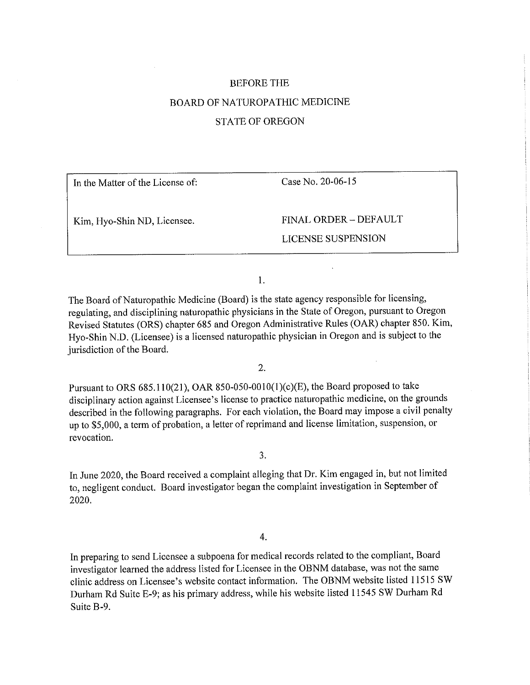# BEFORE THE BOARD OF NATUROPATHIC MEDICINE STATE OF OREGON

| In the Matter of the License of: | Case No. 20-06-15         |
|----------------------------------|---------------------------|
| Kim, Hyo-Shin ND, Licensee.      | FINAL ORDER - DEFAULT     |
|                                  | <b>LICENSE SUSPENSION</b> |
|                                  |                           |

1.

The Board of Naturopathic Medicine (Board) is the state agency responsible for licensing, regulating, and disciplining naturopathic physicians in the State of Oregon, pursuant to Oregon Revised Statutes (ORS) chapter 685 and Oregon Administrative Rules (OAR) chapter 850. Kim, Hyo-Shin N.D. (Licensee) is a licensed naturopathic physician in Oregon and is subject to the jurisdiction of the Board.

2.

Pursuant to ORS  $685.110(21)$ , OAR  $850-050-0010(1)(c)(E)$ , the Board proposed to take disciplinary action against Licensee's license to practice naturopathic medicine, on the grounds described in the following paragraphs. For each violation, the Board may impose a civil penalty up to \$5,000, a term of probation, a letter of reprimand and license limitation, suspension, or revocation.

3.

In June 2020, the Board received a complaint alleging that Dr. Kim engaged in, but not limited to, negligent conduct. Board investigator began the complaint investigation in September of 2020.

4.

In preparing to send Licensee a subpoena for medical records related to the compliant, Board investigator learned the address listed for Licensee in the OBNM database, was not the same clinic address on Licensee's website contact information. The OBNM website listed 11515 SW Durham Rd Suite E-9; as his primary address, while his website listed 11545 SW Durham Rd Suite B-9.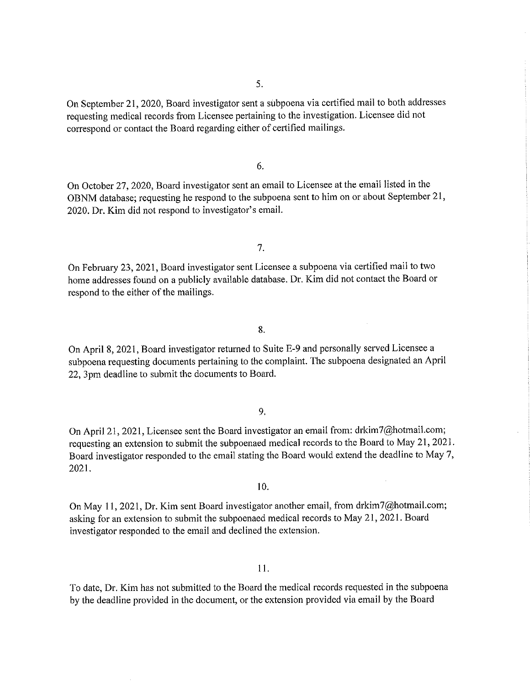On September 21, 2020, Board investigator sent a subpoena via certified mail to both addresses requesting medical records from Licensee pertaining to the investigation. Licensee did not correspond or contact the Board regarding either of certified mailings.

6.

On October 27,2020, Board investigator sent an email to Licensee at the email listed in the OBNM database; requesting he respond to the subpoena sent to him on or about September 21, 2020. Dr. Kim did not respond to investigator's email.

7.

On February 23, 2021, Board investigator sent Licensee a subpoena via certified mail to two home addresses found on a publicly available database. Dr. Kim did not contact the Board or respond to the either of the mailings.

8.

On April 8, 2021, Board investigator returned to Suite E-9 and personally served Licensee a subpoena requesting documents pertaining to the complaint. The subpoena designated an April 22, 3pm deadline to submit the documents to Board.

9.

On April 21, 2021, Licensee sent the Board investigator an email from: drkim7@hotmail.com; requesting an extension to submit the subpoenaed medical records to the Board to May 21, 2021. Board investigator responded to the email stating the Board would extend the deadline to May 7, 2021.

10.

On May 11, 2021, Dr. Kim sent Board investigator another email, from drkim7@hotmail.com; asking for an extension to submit the subpoenaed medical records to May 21, 2021. Board investigator responded to the email and declined the extension.

11.

To date. Dr. Kim has not submitted to the Board the medical records requested in the subpoena by the deadline provided in the document, or the extension provided via email by the Board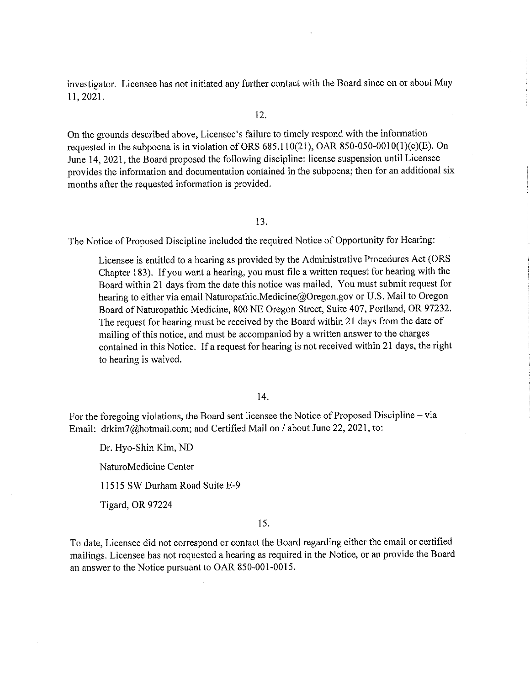investigator. Licensee has not initiated any further contact with the Board since on or about May 11,2021.

# 12.

On the grounds described above, Licensee's failure to timely respond with the information requested in the subpoena is in violation of ORS  $685.110(21)$ , OAR  $850-050-0010(1)(c)(E)$ . On June 14, 2021, the Board proposed the following discipline: license suspension until Licensee provides the information and documentation contained in the subpoena; then for an additional six months after the requested information is provided.

### 13.

The Notice of Proposed Discipline included the required Notice of Opportunity for Hearing:

Licensee is entitled to a hearing as provided by the Administrative Procedures Act (ORS Chapter 183). If you want a hearing, you must file a written request for hearing with the Board within 21 days from the date this notice was mailed. You must submit request for hearing to either via email Naturopathic.Medicine@Oregon.gov or U.S. Mail to Oregon Board of Naturopathic Medicine, 800 NE Oregon Street, Suite 407, Portland, OR 97232. The request for hearing must be received by the Board within 21 days from the date of mailing of this notice, and must be accompanied by a written answer to the charges contained in this Notice. If a request for hearing is not received within 21 days, the right to hearing is waived.

## 14.

For the foregoing violations, the Board sent licensee the Notice of Proposed Discipline – via Email: drkim7@hotmail.com; and Certified Mail on / about June 22, 2021, to:

Dr. Hyo-Shin Kim, ND

NaturoMedicine Center

11515 SW Durham Road Suite E-9

Tigard, OR 97224

### 15.

To date, Licensee did not correspond or contact the Board regarding either the email or certified mailings. Licensee has not requested a hearing as required in the Notice, or an provide the Board an answer to the Notice pursuant to OAR 850-001-0015.